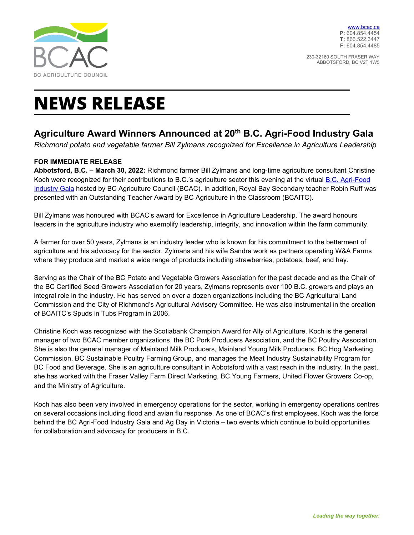

230-32160 SOUTH FRASER WAY ABBOTSFORD, BC V2T 1W5

# **NEWS RELEASE**

## **Agriculture Award Winners Announced at 20th B.C. Agri-Food Industry Gala**

*Richmond potato and vegetable farmer Bill Zylmans recognized for Excellence in Agriculture Leadership* 

### **FOR IMMEDIATE RELEASE**

**Abbotsford, B.C. – March 30, 2022:** Richmond farmer Bill Zylmans and long-time agriculture consultant Christine Koch were recognized for their contributions to B.C.'s agriculture sector this evening at the virtual [B.C. Agri-Food](https://bcac.ca/aggala2022/)  [Industry Gala](https://bcac.ca/aggala2022/) hosted by BC Agriculture Council (BCAC). In addition, Royal Bay Secondary teacher Robin Ruff was presented with an Outstanding Teacher Award by BC Agriculture in the Classroom (BCAITC).

Bill Zylmans was honoured with BCAC's award for Excellence in Agriculture Leadership. The award honours leaders in the agriculture industry who exemplify leadership, integrity, and innovation within the farm community.

A farmer for over 50 years, Zylmans is an industry leader who is known for his commitment to the betterment of agriculture and his advocacy for the sector. Zylmans and his wife Sandra work as partners operating W&A Farms where they produce and market a wide range of products including strawberries, potatoes, beef, and hay.

Serving as the Chair of the BC Potato and Vegetable Growers Association for the past decade and as the Chair of the BC Certified Seed Growers Association for 20 years, Zylmans represents over 100 B.C. growers and plays an integral role in the industry. He has served on over a dozen organizations including the BC Agricultural Land Commission and the City of Richmond's Agricultural Advisory Committee. He was also instrumental in the creation of BCAITC's Spuds in Tubs Program in 2006.

Christine Koch was recognized with the Scotiabank Champion Award for Ally of Agriculture. Koch is the general manager of two BCAC member organizations, the BC Pork Producers Association, and the BC Poultry Association. She is also the general manager of Mainland Milk Producers, Mainland Young Milk Producers, BC Hog Marketing Commission, BC Sustainable Poultry Farming Group, and manages the Meat Industry Sustainability Program for BC Food and Beverage. She is an agriculture consultant in Abbotsford with a vast reach in the industry. In the past, she has worked with the Fraser Valley Farm Direct Marketing, BC Young Farmers, United Flower Growers Co-op, and the Ministry of Agriculture.

Koch has also been very involved in emergency operations for the sector, working in emergency operations centres on several occasions including flood and avian flu response. As one of BCAC's first employees, Koch was the force behind the BC Agri-Food Industry Gala and Ag Day in Victoria – two events which continue to build opportunities for collaboration and advocacy for producers in B.C.